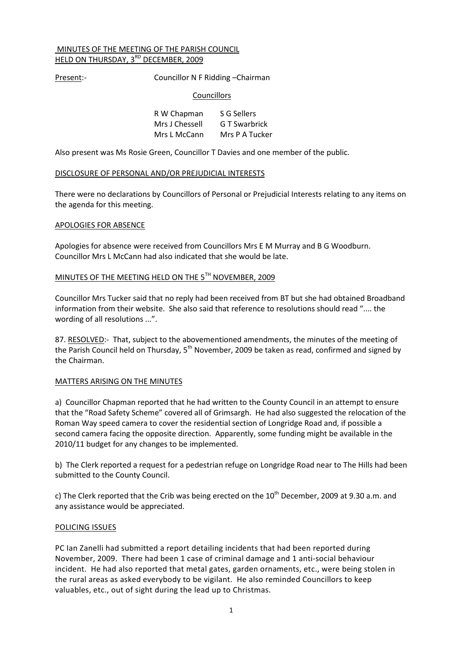#### MINUTES OF THE MEETING OF THE PARISH COUNCIL HELD ON THURSDAY, 3<sup>RD</sup> DECEMBER, 2009

Present:- Councillor N F Ridding –Chairman

#### **Councillors**

| R W Chapman    | S G Sellers    |
|----------------|----------------|
| Mrs J Chessell | G T Swarbrick  |
| Mrs L McCann   | Mrs P A Tucker |

Also present was Ms Rosie Green, Councillor T Davies and one member of the public.

#### DISCLOSURE OF PERSONAL AND/OR PREJUDICIAL INTERESTS

There were no declarations by Councillors of Personal or Prejudicial Interests relating to any items on the agenda for this meeting.

#### APOLOGIES FOR ABSENCE

Apologies for absence were received from Councillors Mrs E M Murray and B G Woodburn. Councillor Mrs L McCann had also indicated that she would be late.

## MINUTES OF THE MEETING HELD ON THE 5TH NOVEMBER, 2009

Councillor Mrs Tucker said that no reply had been received from BT but she had obtained Broadband information from their website. She also said that reference to resolutions should read ".... the wording of all resolutions ...".

87. RESOLVED:- That, subject to the abovementioned amendments, the minutes of the meeting of the Parish Council held on Thursday, 5<sup>th</sup> November, 2009 be taken as read, confirmed and signed by the Chairman.

#### MATTERS ARISING ON THE MINUTES

a) Councillor Chapman reported that he had written to the County Council in an attempt to ensure that the "Road Safety Scheme" covered all of Grimsargh. He had also suggested the relocation of the Roman Way speed camera to cover the residential section of Longridge Road and, if possible a second camera facing the opposite direction. Apparently, some funding might be available in the 2010/11 budget for any changes to be implemented.

b) The Clerk reported a request for a pedestrian refuge on Longridge Road near to The Hills had been submitted to the County Council.

c) The Clerk reported that the Crib was being erected on the  $10^{th}$  December, 2009 at 9.30 a.m. and any assistance would be appreciated.

#### POLICING ISSUES

PC Ian Zanelli had submitted a report detailing incidents that had been reported during November, 2009. There had been 1 case of criminal damage and 1 anti-social behaviour incident. He had also reported that metal gates, garden ornaments, etc., were being stolen in the rural areas as asked everybody to be vigilant. He also reminded Councillors to keep valuables, etc., out of sight during the lead up to Christmas.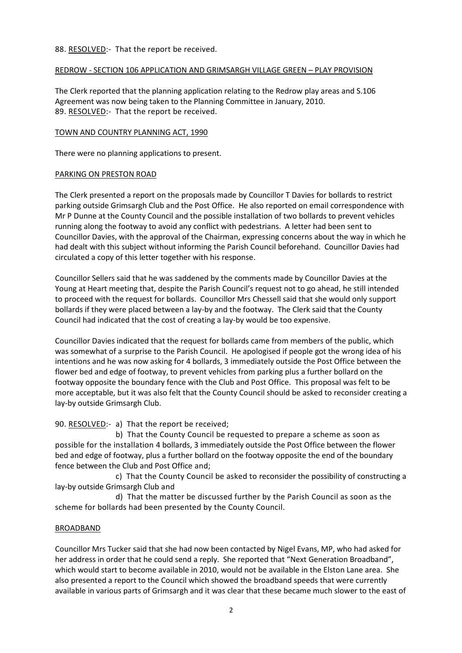### 88. RESOLVED:- That the report be received.

### REDROW - SECTION 106 APPLICATION AND GRIMSARGH VILLAGE GREEN – PLAY PROVISION

The Clerk reported that the planning application relating to the Redrow play areas and S.106 Agreement was now being taken to the Planning Committee in January, 2010. 89. RESOLVED:- That the report be received.

## TOWN AND COUNTRY PLANNING ACT, 1990

There were no planning applications to present.

## PARKING ON PRESTON ROAD

The Clerk presented a report on the proposals made by Councillor T Davies for bollards to restrict parking outside Grimsargh Club and the Post Office. He also reported on email correspondence with Mr P Dunne at the County Council and the possible installation of two bollards to prevent vehicles running along the footway to avoid any conflict with pedestrians. A letter had been sent to Councillor Davies, with the approval of the Chairman, expressing concerns about the way in which he had dealt with this subject without informing the Parish Council beforehand. Councillor Davies had circulated a copy of this letter together with his response.

Councillor Sellers said that he was saddened by the comments made by Councillor Davies at the Young at Heart meeting that, despite the Parish Council's request not to go ahead, he still intended to proceed with the request for bollards. Councillor Mrs Chessell said that she would only support bollards if they were placed between a lay-by and the footway. The Clerk said that the County Council had indicated that the cost of creating a lay-by would be too expensive.

Councillor Davies indicated that the request for bollards came from members of the public, which was somewhat of a surprise to the Parish Council. He apologised if people got the wrong idea of his intentions and he was now asking for 4 bollards, 3 immediately outside the Post Office between the flower bed and edge of footway, to prevent vehicles from parking plus a further bollard on the footway opposite the boundary fence with the Club and Post Office. This proposal was felt to be more acceptable, but it was also felt that the County Council should be asked to reconsider creating a lay-by outside Grimsargh Club.

90. RESOLVED:- a) That the report be received;

 b) That the County Council be requested to prepare a scheme as soon as possible for the installation 4 bollards, 3 immediately outside the Post Office between the flower bed and edge of footway, plus a further bollard on the footway opposite the end of the boundary fence between the Club and Post Office and;

 c) That the County Council be asked to reconsider the possibility of constructing a lay-by outside Grimsargh Club and

 d) That the matter be discussed further by the Parish Council as soon as the scheme for bollards had been presented by the County Council.

#### BROADBAND

Councillor Mrs Tucker said that she had now been contacted by Nigel Evans, MP, who had asked for her address in order that he could send a reply. She reported that "Next Generation Broadband", which would start to become available in 2010, would not be available in the Elston Lane area. She also presented a report to the Council which showed the broadband speeds that were currently available in various parts of Grimsargh and it was clear that these became much slower to the east of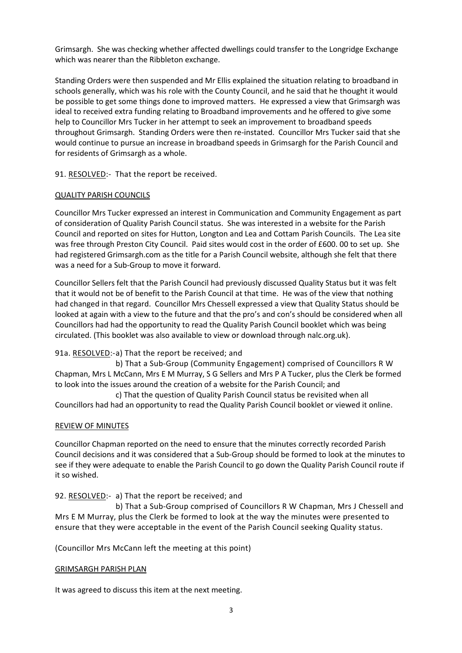Grimsargh. She was checking whether affected dwellings could transfer to the Longridge Exchange which was nearer than the Ribbleton exchange.

Standing Orders were then suspended and Mr Ellis explained the situation relating to broadband in schools generally, which was his role with the County Council, and he said that he thought it would be possible to get some things done to improved matters. He expressed a view that Grimsargh was ideal to received extra funding relating to Broadband improvements and he offered to give some help to Councillor Mrs Tucker in her attempt to seek an improvement to broadband speeds throughout Grimsargh. Standing Orders were then re-instated. Councillor Mrs Tucker said that she would continue to pursue an increase in broadband speeds in Grimsargh for the Parish Council and for residents of Grimsargh as a whole.

91. RESOLVED:- That the report be received.

## QUALITY PARISH COUNCILS

Councillor Mrs Tucker expressed an interest in Communication and Community Engagement as part of consideration of Quality Parish Council status. She was interested in a website for the Parish Council and reported on sites for Hutton, Longton and Lea and Cottam Parish Councils. The Lea site was free through Preston City Council. Paid sites would cost in the order of £600. 00 to set up. She had registered Grimsargh.com as the title for a Parish Council website, although she felt that there was a need for a Sub-Group to move it forward.

Councillor Sellers felt that the Parish Council had previously discussed Quality Status but it was felt that it would not be of benefit to the Parish Council at that time. He was of the view that nothing had changed in that regard. Councillor Mrs Chessell expressed a view that Quality Status should be looked at again with a view to the future and that the pro's and con's should be considered when all Councillors had had the opportunity to read the Quality Parish Council booklet which was being circulated. (This booklet was also available to view or download through nalc.org.uk).

# 91a. RESOLVED:-a) That the report be received; and

 b) That a Sub-Group (Community Engagement) comprised of Councillors R W Chapman, Mrs L McCann, Mrs E M Murray, S G Sellers and Mrs P A Tucker, plus the Clerk be formed to look into the issues around the creation of a website for the Parish Council; and

 c) That the question of Quality Parish Council status be revisited when all Councillors had had an opportunity to read the Quality Parish Council booklet or viewed it online.

#### REVIEW OF MINUTES

Councillor Chapman reported on the need to ensure that the minutes correctly recorded Parish Council decisions and it was considered that a Sub-Group should be formed to look at the minutes to see if they were adequate to enable the Parish Council to go down the Quality Parish Council route if it so wished.

# 92. RESOLVED:- a) That the report be received; and

 b) That a Sub-Group comprised of Councillors R W Chapman, Mrs J Chessell and Mrs E M Murray, plus the Clerk be formed to look at the way the minutes were presented to ensure that they were acceptable in the event of the Parish Council seeking Quality status.

(Councillor Mrs McCann left the meeting at this point)

#### GRIMSARGH PARISH PLAN

It was agreed to discuss this item at the next meeting.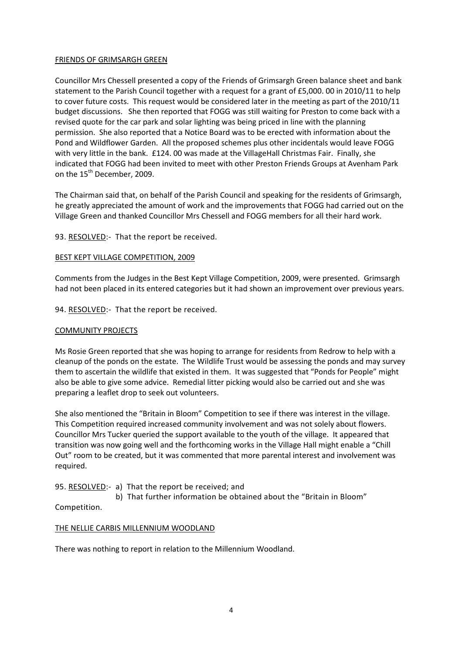### FRIENDS OF GRIMSARGH GREEN

Councillor Mrs Chessell presented a copy of the Friends of Grimsargh Green balance sheet and bank statement to the Parish Council together with a request for a grant of £5,000. 00 in 2010/11 to help to cover future costs. This request would be considered later in the meeting as part of the 2010/11 budget discussions. She then reported that FOGG was still waiting for Preston to come back with a revised quote for the car park and solar lighting was being priced in line with the planning permission. She also reported that a Notice Board was to be erected with information about the Pond and Wildflower Garden. All the proposed schemes plus other incidentals would leave FOGG with very little in the bank. £124. 00 was made at the VillageHall Christmas Fair. Finally, she indicated that FOGG had been invited to meet with other Preston Friends Groups at Avenham Park on the 15<sup>th</sup> December, 2009.

The Chairman said that, on behalf of the Parish Council and speaking for the residents of Grimsargh, he greatly appreciated the amount of work and the improvements that FOGG had carried out on the Village Green and thanked Councillor Mrs Chessell and FOGG members for all their hard work.

# 93. RESOLVED:- That the report be received.

## BEST KEPT VILLAGE COMPETITION, 2009

Comments from the Judges in the Best Kept Village Competition, 2009, were presented. Grimsargh had not been placed in its entered categories but it had shown an improvement over previous years.

94. RESOLVED:- That the report be received.

### COMMUNITY PROJECTS

Ms Rosie Green reported that she was hoping to arrange for residents from Redrow to help with a cleanup of the ponds on the estate. The Wildlife Trust would be assessing the ponds and may survey them to ascertain the wildlife that existed in them. It was suggested that "Ponds for People" might also be able to give some advice. Remedial litter picking would also be carried out and she was preparing a leaflet drop to seek out volunteers.

She also mentioned the "Britain in Bloom" Competition to see if there was interest in the village. This Competition required increased community involvement and was not solely about flowers. Councillor Mrs Tucker queried the support available to the youth of the village. It appeared that transition was now going well and the forthcoming works in the Village Hall might enable a "Chill Out" room to be created, but it was commented that more parental interest and involvement was required.

# 95. RESOLVED:- a) That the report be received; and

 b) That further information be obtained about the "Britain in Bloom" Competition.

# THE NELLIE CARBIS MILLENNIUM WOODLAND

There was nothing to report in relation to the Millennium Woodland.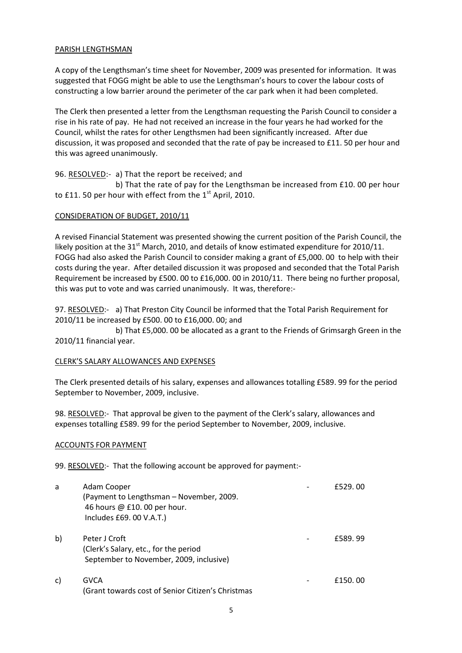#### PARISH LENGTHSMAN

A copy of the Lengthsman's time sheet for November, 2009 was presented for information. It was suggested that FOGG might be able to use the Lengthsman's hours to cover the labour costs of constructing a low barrier around the perimeter of the car park when it had been completed.

The Clerk then presented a letter from the Lengthsman requesting the Parish Council to consider a rise in his rate of pay. He had not received an increase in the four years he had worked for the Council, whilst the rates for other Lengthsmen had been significantly increased. After due discussion, it was proposed and seconded that the rate of pay be increased to £11. 50 per hour and this was agreed unanimously.

# 96. RESOLVED:- a) That the report be received; and

 b) That the rate of pay for the Lengthsman be increased from £10. 00 per hour to £11. 50 per hour with effect from the  $1<sup>st</sup>$  April, 2010.

# CONSIDERATION OF BUDGET, 2010/11

A revised Financial Statement was presented showing the current position of the Parish Council, the likely position at the 31<sup>st</sup> March, 2010, and details of know estimated expenditure for 2010/11. FOGG had also asked the Parish Council to consider making a grant of £5,000. 00 to help with their costs during the year. After detailed discussion it was proposed and seconded that the Total Parish Requirement be increased by £500. 00 to £16,000. 00 in 2010/11. There being no further proposal, this was put to vote and was carried unanimously. It was, therefore:-

97. RESOLVED:- a) That Preston City Council be informed that the Total Parish Requirement for 2010/11 be increased by £500. 00 to £16,000. 00; and

 b) That £5,000. 00 be allocated as a grant to the Friends of Grimsargh Green in the 2010/11 financial year.

# CLERK'S SALARY ALLOWANCES AND EXPENSES

The Clerk presented details of his salary, expenses and allowances totalling £589. 99 for the period September to November, 2009, inclusive.

98. RESOLVED:- That approval be given to the payment of the Clerk's salary, allowances and expenses totalling £589. 99 for the period September to November, 2009, inclusive.

# ACCOUNTS FOR PAYMENT

99. RESOLVED:- That the following account be approved for payment:-

| a  | Adam Cooper<br>(Payment to Lengthsman - November, 2009.<br>46 hours @ £10.00 per hour.<br>Includes £69. 00 V.A.T.) | f529.00 |
|----|--------------------------------------------------------------------------------------------------------------------|---------|
| b) | Peter J Croft<br>(Clerk's Salary, etc., for the period<br>September to November, 2009, inclusive)                  | £589.99 |
| C) | <b>GVCA</b><br>(Grant towards cost of Senior Citizen's Christmas                                                   | £150,00 |